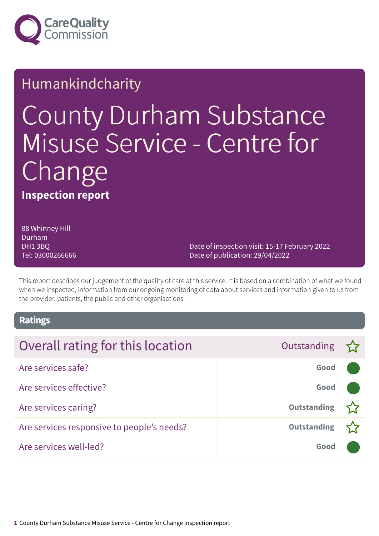

### Humankindcharity

# County Durham Substance Misuse Service - Centre for Change

**Inspection report**

88 Whinney Hill Durham DH1 3BQ Tel: 03000266666

Date of inspection visit: 15-17 February 2022 Date of publication: 29/04/2022

This report describes our judgement of the quality of care at this service. It is based on a combination of what we found when we inspected, information from our ongoing monitoring of data about services and information given to us from the provider, patients, the public and other organisations.

### **Ratings**

| Overall rating for this location           | Outstanding $\sum$ |  |
|--------------------------------------------|--------------------|--|
| Are services safe?                         | Good               |  |
| Are services effective?                    | Good               |  |
| Are services caring?                       | <b>Outstanding</b> |  |
| Are services responsive to people's needs? | <b>Outstanding</b> |  |
| Are services well-led?                     | Good               |  |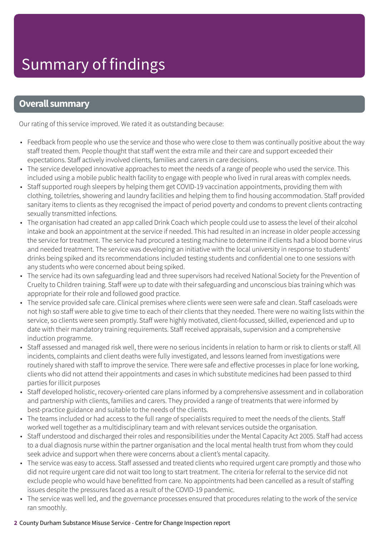### **Overall summary**

Our rating of this service improved. We rated it as outstanding because:

- Feedback from people who use the service and those who were close to them was continually positive about the way staff treated them. People thought that staff went the extra mile and their care and support exceeded their expectations. Staff actively involved clients, families and carers in care decisions.
- The service developed innovative approaches to meet the needs of a range of people who used the service. This included using a mobile public health facility to engage with people who lived in rural areas with complex needs.
- Staff supported rough sleepers by helping them get COVID-19 vaccination appointments, providing them with clothing, toiletries, showering and laundry facilities and helping them to find housing accommodation. Staff provided sanitary items to clients as they recognised the impact of period poverty and condoms to prevent clients contracting sexually transmitted infections.
- The organisation had created an app called Drink Coach which people could use to assess the level of their alcohol intake and book an appointment at the service if needed. This had resulted in an increase in older people accessing the service for treatment. The service had procured a testing machine to determine if clients had a blood borne virus and needed treatment. The service was developing an initiative with the local university in response to students' drinks being spiked and its recommendations included testing students and confidential one to one sessions with any students who were concerned about being spiked.
- The service had its own safeguarding lead and three supervisors had received National Society for the Prevention of Cruelty to Children training. Staff were up to date with their safeguarding and unconscious bias training which was appropriate for their role and followed good practice.
- The service provided safe care. Clinical premises where clients were seen were safe and clean. Staff caseloads were not high so staff were able to give time to each of their clients that they needed. There were no waiting lists within the service, so clients were seen promptly. Staff were highly motivated, client-focussed, skilled, experienced and up to date with their mandatory training requirements. Staff received appraisals, supervision and a comprehensive induction programme.
- Staff assessed and managed risk well, there were no serious incidents in relation to harm or risk to clients or staff. All incidents, complaints and client deaths were fully investigated, and lessons learned from investigations were routinely shared with staff to improve the service. There were safe and effective processes in place for lone working, clients who did not attend their appointments and cases in which substitute medicines had been passed to third parties for illicit purposes
- Staff developed holistic, recovery-oriented care plans informed by a comprehensive assessment and in collaboration and partnership with clients, families and carers. They provided a range of treatments that were informed by best-practice guidance and suitable to the needs of the clients.
- The teams included or had access to the full range of specialists required to meet the needs of the clients. Staff worked well together as a multidisciplinary team and with relevant services outside the organisation.
- Staff understood and discharged their roles and responsibilities under the Mental Capacity Act 2005. Staff had access to a dual diagnosis nurse within the partner organisation and the local mental health trust from whom they could seek advice and support when there were concerns about a client's mental capacity.
- The service was easy to access. Staff assessed and treated clients who required urgent care promptly and those who did not require urgent care did not wait too long to start treatment. The criteria for referral to the service did not exclude people who would have benefitted from care. No appointments had been cancelled as a result of staffing issues despite the pressures faced as a result of the COVID-19 pandemic.
- The service was well led, and the governance processes ensured that procedures relating to the work of the service ran smoothly.

### **2** County Durham Substance Misuse Service - Centre for Change Inspection report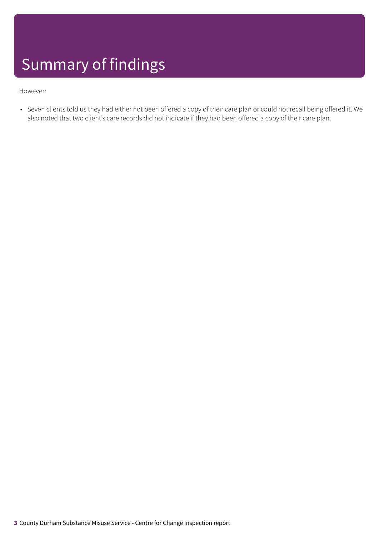## Summary of findings

#### However:

• Seven clients told us they had either not been offered a copy of their care plan or could not recall being offered it. We also noted that two client's care records did not indicate if they had been offered a copy of their care plan.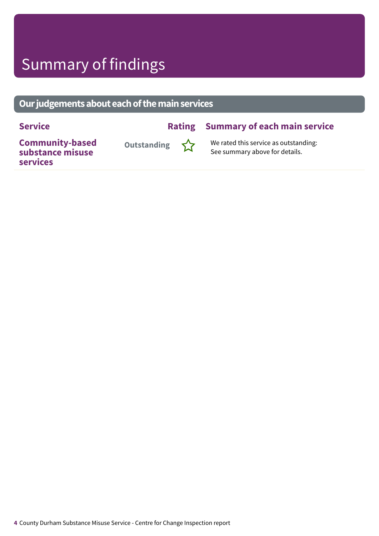### Summary of findings

### **Ourjudgementsabouteachofthemainservices**

### **Service Rating Summary of each main service**

**Community-based substance misuse services**



**Outstanding**  $\sum_{i=1}^{N}$  We rated this service as outstanding: See summary above for details.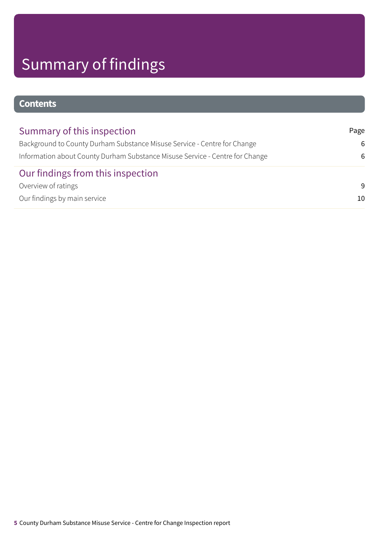## Summary of findings

### **Contents**

| Summary of this inspection                                                   | Page |
|------------------------------------------------------------------------------|------|
| Background to County Durham Substance Misuse Service - Centre for Change     | 6    |
| Information about County Durham Substance Misuse Service - Centre for Change |      |
| Our findings from this inspection                                            |      |
| Overview of ratings                                                          | 9    |
| Our findings by main service                                                 | 10   |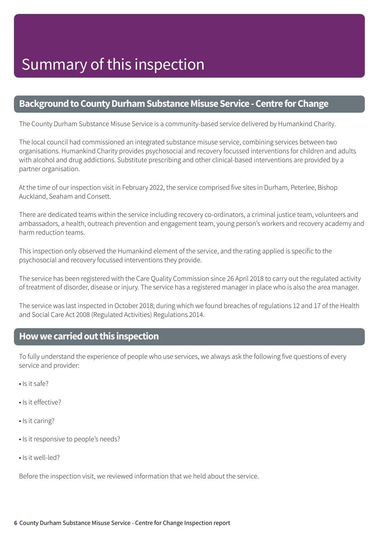### <span id="page-5-0"></span>**Background to County Durham Substance Misuse Service - Centre for Change**

The County Durham Substance Misuse Service is a community-based service delivered by Humankind Charity.

The local council had commissioned an integrated substance misuse service, combining services between two organisations. Humankind Charity provides psychosocial and recovery focussed interventions for children and adults with alcohol and drug addictions. Substitute prescribing and other clinical-based interventions are provided by a partner organisation.

At the time of our inspection visit in February 2022, the service comprised five sites in Durham, Peterlee, Bishop Auckland, Seaham and Consett.

There are dedicated teams within the service including recovery co-ordinators, a criminal justice team, volunteers and ambassadors, a health, outreach prevention and engagement team, young person's workers and recovery academy and harm reduction teams.

This inspection only observed the Humankind element of the service, and the rating applied is specific to the psychosocial and recovery focussed interventions they provide.

The service has been registered with the Care Quality Commission since 26 April 2018 to carry out the regulated activity of treatment of disorder, disease or injury. The service has a registered manager in place who is also the area manager.

The service was last inspected in October 2018; during which we found breaches of regulations 12 and 17 of the Health and Social Care Act 2008 (Regulated Activities) Regulations 2014.

### <span id="page-5-1"></span>**Howwecarriedoutthis inspection**

To fully understand the experience of people who use services, we always ask the following five questions of every service and provider:

- Is it safe?
- Is it effective?
- Is it caring?
- Is it responsive to people's needs?
- Is it well-led?

Before the inspection visit, we reviewed information that we held about the service.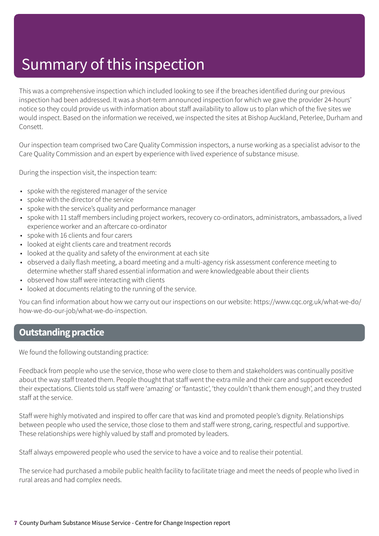### Summary of this inspection

This was a comprehensive inspection which included looking to see if the breaches identified during our previous inspection had been addressed. It was a short-term announced inspection for which we gave the provider 24-hours' notice so they could provide us with information about staff availability to allow us to plan which of the five sites we would inspect. Based on the information we received, we inspected the sites at Bishop Auckland, Peterlee, Durham and Consett.

Our inspection team comprised two Care Quality Commission inspectors, a nurse working as a specialist advisor to the Care Quality Commission and an expert by experience with lived experience of substance misuse.

During the inspection visit, the inspection team:

- spoke with the registered manager of the service
- spoke with the director of the service
- spoke with the service's quality and performance manager
- spoke with 11 staff members including project workers, recovery co-ordinators, administrators, ambassadors, a lived experience worker and an aftercare co-ordinator
- spoke with 16 clients and four carers
- looked at eight clients care and treatment records
- looked at the quality and safety of the environment at each site
- observed a daily flash meeting, a board meeting and a multi-agency risk assessment conference meeting to determine whether staff shared essential information and were knowledgeable about their clients
- observed how staff were interacting with clients
- looked at documents relating to the running of the service.

You can find information about how we carry out our inspections on our website: https://www.cqc.org.uk/what-we-do/ how-we-do-our-job/what-we-do-inspection.

### **Outstanding practice**

We found the following outstanding practice:

Feedback from people who use the service, those who were close to them and stakeholders was continually positive about the way staff treated them. People thought that staff went the extra mile and their care and support exceeded their expectations. Clients told us staff were 'amazing' or 'fantastic', 'they couldn't thank them enough', and they trusted staff at the service.

Staff were highly motivated and inspired to offer care that was kind and promoted people's dignity. Relationships between people who used the service, those close to them and staff were strong, caring, respectful and supportive. These relationships were highly valued by staff and promoted by leaders.

Staff always empowered people who used the service to have a voice and to realise their potential.

The service had purchased a mobile public health facility to facilitate triage and meet the needs of people who lived in rural areas and had complex needs.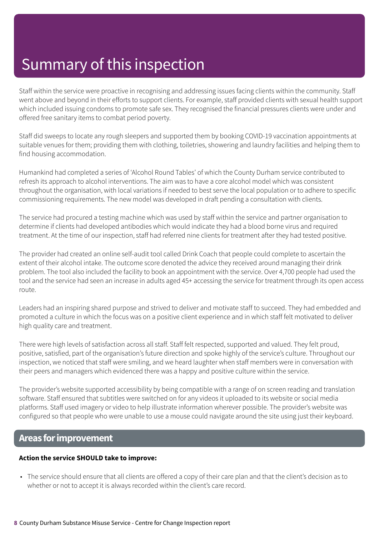### Summary of this inspection

Staff within the service were proactive in recognising and addressing issues facing clients within the community. Staff went above and beyond in their efforts to support clients. For example, staff provided clients with sexual health support which included issuing condoms to promote safe sex. They recognised the financial pressures clients were under and offered free sanitary items to combat period poverty.

Staff did sweeps to locate any rough sleepers and supported them by booking COVID-19 vaccination appointments at suitable venues for them; providing them with clothing, toiletries, showering and laundry facilities and helping them to find housing accommodation.

Humankind had completed a series of 'Alcohol Round Tables' of which the County Durham service contributed to refresh its approach to alcohol interventions. The aim was to have a core alcohol model which was consistent throughout the organisation, with local variations if needed to best serve the local population or to adhere to specific commissioning requirements. The new model was developed in draft pending a consultation with clients.

The service had procured a testing machine which was used by staff within the service and partner organisation to determine if clients had developed antibodies which would indicate they had a blood borne virus and required treatment. At the time of our inspection, staff had referred nine clients for treatment after they had tested positive.

The provider had created an online self-audit tool called Drink Coach that people could complete to ascertain the extent of their alcohol intake. The outcome score denoted the advice they received around managing their drink problem. The tool also included the facility to book an appointment with the service. Over 4,700 people had used the tool and the service had seen an increase in adults aged 45+ accessing the service for treatment through its open access route.

Leaders had an inspiring shared purpose and strived to deliver and motivate staff to succeed. They had embedded and promoted a culture in which the focus was on a positive client experience and in which staff felt motivated to deliver high quality care and treatment.

There were high levels of satisfaction across all staff. Staff felt respected, supported and valued. They felt proud, positive, satisfied, part of the organisation's future direction and spoke highly of the service's culture. Throughout our inspection, we noticed that staff were smiling, and we heard laughter when staff members were in conversation with their peers and managers which evidenced there was a happy and positive culture within the service.

The provider's website supported accessibility by being compatible with a range of on screen reading and translation software. Staff ensured that subtitles were switched on for any videos it uploaded to its website or social media platforms. Staff used imagery or video to help illustrate information wherever possible. The provider's website was configured so that people who were unable to use a mouse could navigate around the site using just their keyboard.

### **Areas forimprovement**

### **Action the service SHOULD take to improve:**

• The service should ensure that all clients are offered a copy of their care plan and that the client's decision as to whether or not to accept it is always recorded within the client's care record.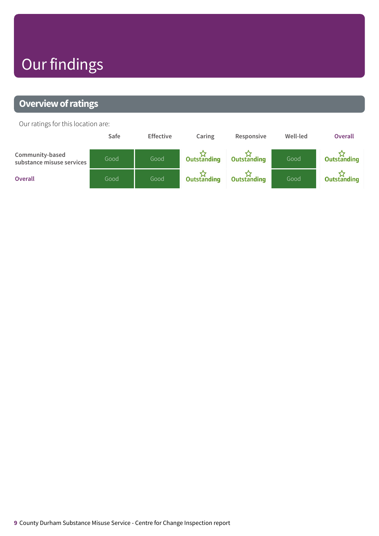## Our findings

### <span id="page-8-0"></span>**Overview of ratings**

Our ratings for this location are:

|                                              | Safe | <b>Effective</b> | Caring             | Responsive         | Well-led | <b>Overall</b> |
|----------------------------------------------|------|------------------|--------------------|--------------------|----------|----------------|
| Community-based<br>substance misuse services | Good | Good             | <b>Outstanding</b> | <b>Outstanding</b> | Good     | Outstanding    |
| <b>Overall</b>                               | Good | Good             | <b>Outstanding</b> | <b>Outstanding</b> | Good     | Outstanding    |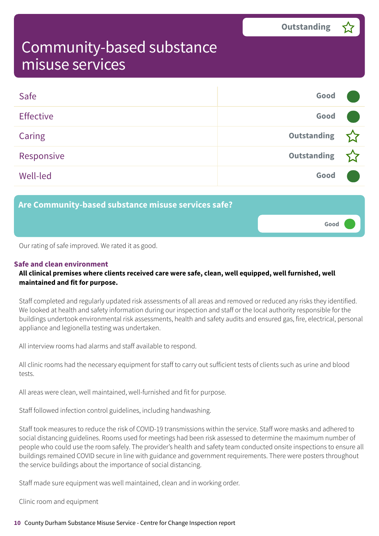**Good –––**

### <span id="page-9-0"></span>Community-based substance misuse services

| Safe             | Good        |  |
|------------------|-------------|--|
| <b>Effective</b> | Good        |  |
| Caring           | Outstanding |  |
| Responsive       | Outstanding |  |
| <b>Well-led</b>  | Good        |  |

**Are Community-based substance misuse services safe?**

Our rating of safe improved. We rated it as good.

### **Safe and clean environment**

### **All clinical premises where clients received care were safe, clean, well equipped, well furnished, well maintained and fit for purpose.**

Staff completed and regularly updated risk assessments of all areas and removed or reduced any risks they identified. We looked at health and safety information during our inspection and staff or the local authority responsible for the buildings undertook environmental risk assessments, health and safety audits and ensured gas, fire, electrical, personal appliance and legionella testing was undertaken.

All interview rooms had alarms and staff available to respond.

All clinic rooms had the necessary equipment for staff to carry out sufficient tests of clients such as urine and blood tests.

All areas were clean, well maintained, well-furnished and fit for purpose.

Staff followed infection control guidelines, including handwashing.

Staff took measures to reduce the risk of COVID-19 transmissions within the service. Staff wore masks and adhered to social distancing guidelines. Rooms used for meetings had been risk assessed to determine the maximum number of people who could use the room safely. The provider's health and safety team conducted onsite inspections to ensure all buildings remained COVID secure in line with guidance and government requirements. There were posters throughout the service buildings about the importance of social distancing.

Staff made sure equipment was well maintained, clean and in working order.

Clinic room and equipment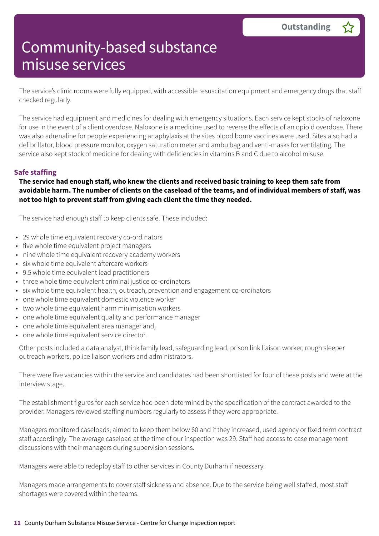The service's clinic rooms were fully equipped, with accessible resuscitation equipment and emergency drugs that staff checked regularly.

The service had equipment and medicines for dealing with emergency situations. Each service kept stocks of naloxone for use in the event of a client overdose. Naloxone is a medicine used to reverse the effects of an opioid overdose. There was also adrenaline for people experiencing anaphylaxis at the sites blood borne vaccines were used. Sites also had a defibrillator, blood pressure monitor, oxygen saturation meter and ambu bag and venti-masks for ventilating. The service also kept stock of medicine for dealing with deficiencies in vitamins B and C due to alcohol misuse.

### **Safe staffing**

The service had enough staff, who knew the clients and received basic training to keep them safe from avoidable harm. The number of clients on the caseload of the teams, and of individual members of staff, was **not too high to prevent staff from giving each client the time they needed.**

The service had enough staff to keep clients safe. These included:

- 29 whole time equivalent recovery co-ordinators
- five whole time equivalent project managers
- nine whole time equivalent recovery academy workers
- six whole time equivalent aftercare workers
- 9.5 whole time equivalent lead practitioners
- three whole time equivalent criminal justice co-ordinators
- six whole time equivalent health, outreach, prevention and engagement co-ordinators
- one whole time equivalent domestic violence worker
- two whole time equivalent harm minimisation workers
- one whole time equivalent quality and performance manager
- one whole time equivalent area manager and,
- one whole time equivalent service director.

Other posts included a data analyst, think family lead, safeguarding lead, prison link liaison worker, rough sleeper outreach workers, police liaison workers and administrators.

There were five vacancies within the service and candidates had been shortlisted for four of these posts and were at the interview stage.

The establishment figures for each service had been determined by the specification of the contract awarded to the provider. Managers reviewed staffing numbers regularly to assess if they were appropriate.

Managers monitored caseloads; aimed to keep them below 60 and if they increased, used agency or fixed term contract staff accordingly. The average caseload at the time of our inspection was 29. Staff had access to case management discussions with their managers during supervision sessions.

Managers were able to redeploy staff to other services in County Durham if necessary.

Managers made arrangements to cover staff sickness and absence. Due to the service being well staffed, most staff shortages were covered within the teams.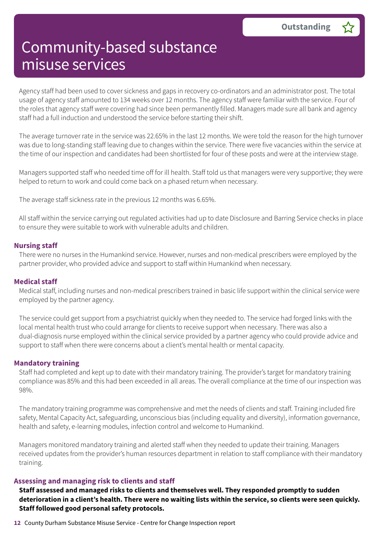Agency staff had been used to cover sickness and gaps in recovery co-ordinators and an administrator post. The total usage of agency staff amounted to 134 weeks over 12 months. The agency staff were familiar with the service. Four of the roles that agency staff were covering had since been permanently filled. Managers made sure all bank and agency staff had a full induction and understood the service before starting their shift.

The average turnover rate in the service was 22.65% in the last 12 months. We were told the reason for the high turnover was due to long-standing staff leaving due to changes within the service. There were five vacancies within the service at the time of our inspection and candidates had been shortlisted for four of these posts and were at the interview stage.

Managers supported staff who needed time off for ill health. Staff told us that managers were very supportive; they were helped to return to work and could come back on a phased return when necessary.

The average staff sickness rate in the previous 12 months was 6.65%.

All staff within the service carrying out regulated activities had up to date Disclosure and Barring Service checks in place to ensure they were suitable to work with vulnerable adults and children.

#### **Nursing staff**

There were no nurses in the Humankind service. However, nurses and non-medical prescribers were employed by the partner provider, who provided advice and support to staff within Humankind when necessary.

#### **Medical staff**

Medical staff, including nurses and non-medical prescribers trained in basic life support within the clinical service were employed by the partner agency.

The service could get support from a psychiatrist quickly when they needed to. The service had forged links with the local mental health trust who could arrange for clients to receive support when necessary. There was also a dual-diagnosis nurse employed within the clinical service provided by a partner agency who could provide advice and support to staff when there were concerns about a client's mental health or mental capacity.

#### **Mandatory training**

Staff had completed and kept up to date with their mandatory training. The provider's target for mandatory training compliance was 85% and this had been exceeded in all areas. The overall compliance at the time of our inspection was 98%.

The mandatory training programme was comprehensive and met the needs of clients and staff. Training included fire safety, Mental Capacity Act, safeguarding, unconscious bias (including equality and diversity), information governance, health and safety, e-learning modules, infection control and welcome to Humankind.

Managers monitored mandatory training and alerted staff when they needed to update their training. Managers received updates from the provider's human resources department in relation to staff compliance with their mandatory training.

#### **Assessing and managing risk to clients and staff**

**Staff assessed and managed risks to clients and themselves well. They responded promptly to sudden** deterioration in a client's health. There were no waiting lists within the service, so clients were seen quickly. **Staff followed good personal safety protocols.**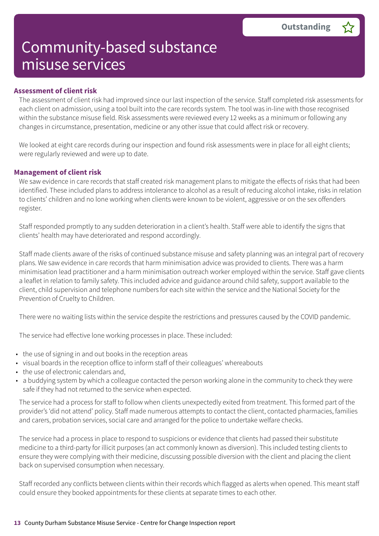### **Assessment of client risk**

The assessment of client risk had improved since our last inspection of the service. Staff completed risk assessments for each client on admission, using a tool built into the care records system. The tool was in-line with those recognised within the substance misuse field. Risk assessments were reviewed every 12 weeks as a minimum or following any changes in circumstance, presentation, medicine or any other issue that could affect risk or recovery.

We looked at eight care records during our inspection and found risk assessments were in place for all eight clients; were regularly reviewed and were up to date.

#### **Management of client risk**

We saw evidence in care records that staff created risk management plans to mitigate the effects of risks that had been identified. These included plans to address intolerance to alcohol as a result of reducing alcohol intake, risks in relation to clients' children and no lone working when clients were known to be violent, aggressive or on the sex offenders register.

Staff responded promptly to any sudden deterioration in a client's health. Staff were able to identify the signs that clients' health may have deteriorated and respond accordingly.

Staff made clients aware of the risks of continued substance misuse and safety planning was an integral part of recovery plans. We saw evidence in care records that harm minimisation advice was provided to clients. There was a harm minimisation lead practitioner and a harm minimisation outreach worker employed within the service. Staff gave clients a leaflet in relation to family safety. This included advice and guidance around child safety, support available to the client, child supervision and telephone numbers for each site within the service and the National Society for the Prevention of Cruelty to Children.

There were no waiting lists within the service despite the restrictions and pressures caused by the COVID pandemic.

The service had effective lone working processes in place. These included:

- the use of signing in and out books in the reception areas
- visual boards in the reception office to inform staff of their colleagues' whereabouts
- the use of electronic calendars and,
- a buddying system by which a colleague contacted the person working alone in the community to check they were safe if they had not returned to the service when expected.

The service had a process for staff to follow when clients unexpectedly exited from treatment. This formed part of the provider's 'did not attend' policy. Staff made numerous attempts to contact the client, contacted pharmacies, families and carers, probation services, social care and arranged for the police to undertake welfare checks.

The service had a process in place to respond to suspicions or evidence that clients had passed their substitute medicine to a third-party for illicit purposes (an act commonly known as diversion). This included testing clients to ensure they were complying with their medicine, discussing possible diversion with the client and placing the client back on supervised consumption when necessary.

Staff recorded any conflicts between clients within their records which flagged as alerts when opened. This meant staff could ensure they booked appointments for these clients at separate times to each other.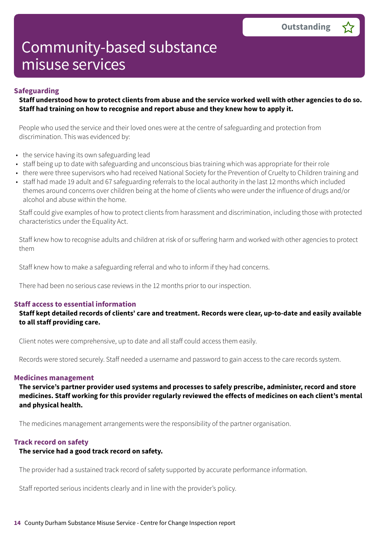#### **Safeguarding**

### Staff understood how to protect clients from abuse and the service worked well with other agencies to do so. **Staff had training on how to recognise and report abuse and they knew how to apply it.**

People who used the service and their loved ones were at the centre of safeguarding and protection from discrimination. This was evidenced by:

- the service having its own safeguarding lead
- staff being up to date with safeguarding and unconscious bias training which was appropriate for their role
- there were three supervisors who had received National Society for the Prevention of Cruelty to Children training and
- staff had made 19 adult and 67 safeguarding referrals to the local authority in the last 12 months which included themes around concerns over children being at the home of clients who were under the influence of drugs and/or alcohol and abuse within the home.

Staff could give examples of how to protect clients from harassment and discrimination, including those with protected characteristics under the Equality Act.

Staff knew how to recognise adults and children at risk of or suffering harm and worked with other agencies to protect them

Staff knew how to make a safeguarding referral and who to inform if they had concerns.

There had been no serious case reviews in the 12 months prior to our inspection.

### **Staff access to essential information**

**Staff kept detailed records of clients' care and treatment. Records were clear, up-to-date and easily available to all staff providing care.**

Client notes were comprehensive, up to date and all staff could access them easily.

Records were stored securely. Staff needed a username and password to gain access to the care records system.

#### **Medicines management**

**The service's partner provider used systems and processes to safely prescribe, administer, record and store medicines. Staff working for this provider regularly reviewed the effects of medicines on each client's mental and physical health.**

The medicines management arrangements were the responsibility of the partner organisation.

#### **Track record on safety**

#### **The service had a good track record on safety.**

The provider had a sustained track record of safety supported by accurate performance information.

Staff reported serious incidents clearly and in line with the provider's policy.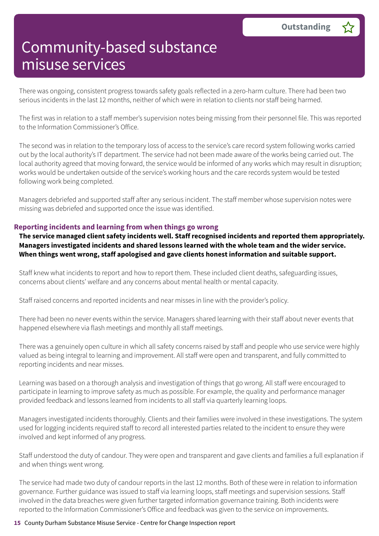There was ongoing, consistent progress towards safety goals reflected in a zero-harm culture. There had been two serious incidents in the last 12 months, neither of which were in relation to clients nor staff being harmed.

The first was in relation to a staff member's supervision notes being missing from their personnel file. This was reported to the Information Commissioner's Office.

The second was in relation to the temporary loss of access to the service's care record system following works carried out by the local authority's IT department. The service had not been made aware of the works being carried out. The local authority agreed that moving forward, the service would be informed of any works which may result in disruption; works would be undertaken outside of the service's working hours and the care records system would be tested following work being completed.

Managers debriefed and supported staff after any serious incident. The staff member whose supervision notes were missing was debriefed and supported once the issue was identified.

### **Reporting incidents and learning from when things go wrong**

**The service managed client safety incidents well. Staff recognised incidents and reported them appropriately. Managers investigated incidents and shared lessons learned with the whole team and the wider service. When things went wrong, staff apologised and gave clients honest information and suitable support.**

Staff knew what incidents to report and how to report them. These included client deaths, safeguarding issues, concerns about clients' welfare and any concerns about mental health or mental capacity.

Staff raised concerns and reported incidents and near misses in line with the provider's policy.

There had been no never events within the service. Managers shared learning with their staff about never events that happened elsewhere via flash meetings and monthly all staff meetings.

There was a genuinely open culture in which all safety concerns raised by staff and people who use service were highly valued as being integral to learning and improvement. All staff were open and transparent, and fully committed to reporting incidents and near misses.

Learning was based on a thorough analysis and investigation of things that go wrong. All staff were encouraged to participate in learning to improve safety as much as possible. For example, the quality and performance manager provided feedback and lessons learned from incidents to all staff via quarterly learning loops.

Managers investigated incidents thoroughly. Clients and their families were involved in these investigations. The system used for logging incidents required staff to record all interested parties related to the incident to ensure they were involved and kept informed of any progress.

Staff understood the duty of candour. They were open and transparent and gave clients and families a full explanation if and when things went wrong.

The service had made two duty of candour reports in the last 12 months. Both of these were in relation to information governance. Further guidance was issued to staff via learning loops, staff meetings and supervision sessions. Staff involved in the data breaches were given further targeted information governance training. Both incidents were reported to the Information Commissioner's Office and feedback was given to the service on improvements.

#### **15** County Durham Substance Misuse Service - Centre for Change Inspection report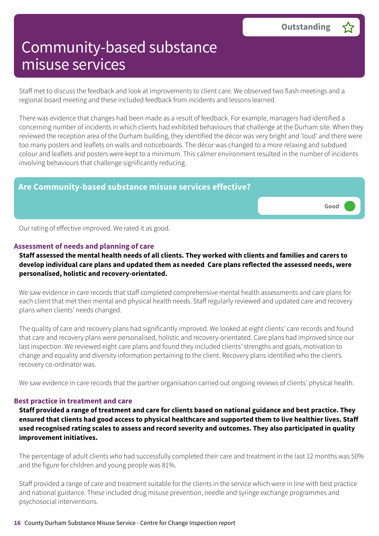**Good –––**

### Community-based substance misuse services

Staff met to discuss the feedback and look at improvements to client care. We observed two flash meetings and a regional board meeting and these included feedback from incidents and lessons learned.

There was evidence that changes had been made as a result of feedback. For example, managers had identified a concerning number of incidents in which clients had exhibited behaviours that challenge at the Durham site. When they reviewed the reception area of the Durham building, they identified the décor was very bright and 'loud' and there were too many posters and leaflets on walls and noticeboards. The décor was changed to a more relaxing and subdued colour and leaflets and posters were kept to a minimum. This calmer environment resulted in the number of incidents involving behaviours that challenge significantly reducing.

### **Are Community-based substance misuse services effective?**

Our rating of effective improved. We rated it as good.

#### **Assessment of needs and planning of care**

Staff assessed the mental health needs of all clients. They worked with clients and families and carers to **develop individual care plans and updated them as needed**. **Care plans reflected the assessed needs, were personalised, holistic and recovery-orientated.**

We saw evidence in care records that staff completed comprehensive mental health assessments and care plans for each client that met their mental and physical health needs. Staff regularly reviewed and updated care and recovery plans when clients' needs changed.

The quality of care and recovery plans had significantly improved. We looked at eight clients' care records and found that care and recovery plans were personalised, holistic and recovery-orientated. Care plans had improved since our last inspection. We reviewed eight care plans and found they included clients' strengths and goals, motivation to change and equality and diversity information pertaining to the client. Recovery plans identified who the client's recovery co-ordinator was.

We saw evidence in care records that the partner organisation carried out ongoing reviews of clients' physical health.

### **Best practice in treatment and care**

Staff provided a range of treatment and care for clients based on national guidance and best practice. They ensured that clients had good access to physical healthcare and supported them to live healthier lives. Staff **used recognised rating scales to assess and record severity and outcomes. They also participated in quality improvement initiatives.**

The percentage of adult clients who had successfully completed their care and treatment in the last 12 months was 50% and the figure for children and young people was 81%.

Staff provided a range of care and treatment suitable for the clients in the service which were in line with best practice and national guidance. These included drug misuse prevention, needle and syringe exchange programmes and psychosocial interventions.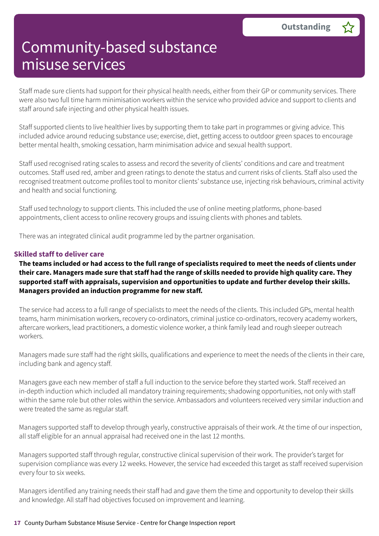Staff made sure clients had support for their physical health needs, either from their GP or community services. There were also two full time harm minimisation workers within the service who provided advice and support to clients and staff around safe injecting and other physical health issues.

Staff supported clients to live healthier lives by supporting them to take part in programmes or giving advice. This included advice around reducing substance use; exercise, diet, getting access to outdoor green spaces to encourage better mental health, smoking cessation, harm minimisation advice and sexual health support.

Staff used recognised rating scales to assess and record the severity of clients' conditions and care and treatment outcomes. Staff used red, amber and green ratings to denote the status and current risks of clients. Staff also used the recognised treatment outcome profiles tool to monitor clients' substance use, injecting risk behaviours, criminal activity and health and social functioning.

Staff used technology to support clients. This included the use of online meeting platforms, phone-based appointments, client access to online recovery groups and issuing clients with phones and tablets.

There was an integrated clinical audit programme led by the partner organisation.

### **Skilled staff to deliver care**

The teams included or had access to the full range of specialists required to meet the needs of clients under their care. Managers made sure that staff had the range of skills needed to provide high quality care. They **supported staff with appraisals, supervision and opportunities to update and further develop their skills. Managers provided an induction programme for new staff.**

The service had access to a full range of specialists to meet the needs of the clients. This included GPs, mental health teams, harm minimisation workers, recovery co-ordinators, criminal justice co-ordinators, recovery academy workers, aftercare workers, lead practitioners, a domestic violence worker, a think family lead and rough sleeper outreach workers.

Managers made sure staff had the right skills, qualifications and experience to meet the needs of the clients in their care, including bank and agency staff.

Managers gave each new member of staff a full induction to the service before they started work. Staff received an in-depth induction which included all mandatory training requirements; shadowing opportunities, not only with staff within the same role but other roles within the service. Ambassadors and volunteers received very similar induction and were treated the same as regular staff.

Managers supported staff to develop through yearly, constructive appraisals of their work. At the time of our inspection, all staff eligible for an annual appraisal had received one in the last 12 months.

Managers supported staff through regular, constructive clinical supervision of their work. The provider's target for supervision compliance was every 12 weeks. However, the service had exceeded this target as staff received supervision every four to six weeks.

Managers identified any training needs their staff had and gave them the time and opportunity to develop their skills and knowledge. All staff had objectives focused on improvement and learning.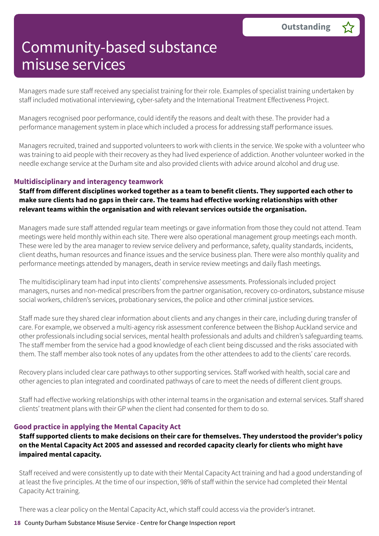Managers made sure staff received any specialist training for their role. Examples of specialist training undertaken by staff included motivational interviewing, cyber-safety and the International Treatment Effectiveness Project.

Managers recognised poor performance, could identify the reasons and dealt with these. The provider had a performance management system in place which included a process for addressing staff performance issues.

Managers recruited, trained and supported volunteers to work with clients in the service. We spoke with a volunteer who was training to aid people with their recovery as they had lived experience of addiction. Another volunteer worked in the needle exchange service at the Durham site and also provided clients with advice around alcohol and drug use.

### **Multidisciplinary and interagency teamwork**

Staff from different disciplines worked together as a team to benefit clients. They supported each other to **make sure clients had no gaps in their care. The teams had effective working relationships with other relevant teams within the organisation and with relevant services outside the organisation.**

Managers made sure staff attended regular team meetings or gave information from those they could not attend. Team meetings were held monthly within each site. There were also operational management group meetings each month. These were led by the area manager to review service delivery and performance, safety, quality standards, incidents, client deaths, human resources and finance issues and the service business plan. There were also monthly quality and performance meetings attended by managers, death in service review meetings and daily flash meetings.

The multidisciplinary team had input into clients' comprehensive assessments. Professionals included project managers, nurses and non-medical prescribers from the partner organisation, recovery co-ordinators, substance misuse social workers, children's services, probationary services, the police and other criminal justice services.

Staff made sure they shared clear information about clients and any changes in their care, including during transfer of care. For example, we observed a multi-agency risk assessment conference between the Bishop Auckland service and other professionals including social services, mental health professionals and adults and children's safeguarding teams. The staff member from the service had a good knowledge of each client being discussed and the risks associated with them. The staff member also took notes of any updates from the other attendees to add to the clients' care records.

Recovery plans included clear care pathways to other supporting services. Staff worked with health, social care and other agencies to plan integrated and coordinated pathways of care to meet the needs of different client groups.

Staff had effective working relationships with other internal teams in the organisation and external services. Staff shared clients' treatment plans with their GP when the client had consented for them to do so.

### **Good practice in applying the Mental Capacity Act**

**Staff supported clients to make decisions on their care for themselves. They understood the provider's policy on the Mental Capacity Act 2005 and assessed and recorded capacity clearly for clients who might have impaired mental capacity.**

Staff received and were consistently up to date with their Mental Capacity Act training and had a good understanding of at least the five principles. At the time of our inspection, 98% of staff within the service had completed their Mental Capacity Act training.

There was a clear policy on the Mental Capacity Act, which staff could access via the provider's intranet.

#### **18** County Durham Substance Misuse Service - Centre for Change Inspection report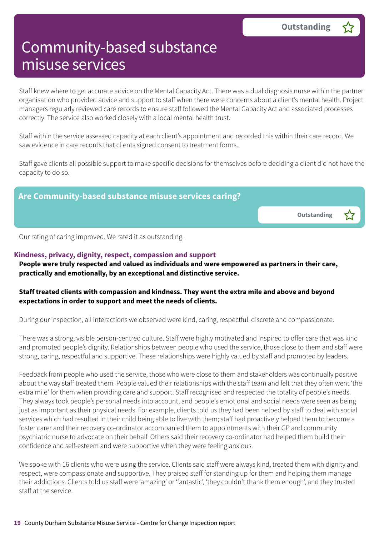Staff knew where to get accurate advice on the Mental Capacity Act. There was a dual diagnosis nurse within the partner organisation who provided advice and support to staff when there were concerns about a client's mental health. Project managers regularly reviewed care records to ensure staff followed the Mental Capacity Act and associated processes correctly. The service also worked closely with a local mental health trust.

Staff within the service assessed capacity at each client's appointment and recorded this within their care record. We saw evidence in care records that clients signed consent to treatment forms.

Staff gave clients all possible support to make specific decisions for themselves before deciding a client did not have the capacity to do so.



Our rating of caring improved. We rated it as outstanding.

### **Kindness, privacy, dignity, respect, compassion and support**

**People were truly respected and valued as individuals and were empowered as partners in their care, practically and emotionally, by an exceptional and distinctive service.**

### **Staff treated clients with compassion and kindness. They went the extra mile and above and beyond expectations in order to support and meet the needs of clients.**

During our inspection, all interactions we observed were kind, caring, respectful, discrete and compassionate.

There was a strong, visible person-centred culture. Staff were highly motivated and inspired to offer care that was kind and promoted people's dignity. Relationships between people who used the service, those close to them and staff were strong, caring, respectful and supportive. These relationships were highly valued by staff and promoted by leaders.

Feedback from people who used the service, those who were close to them and stakeholders was continually positive about the way staff treated them. People valued their relationships with the staff team and felt that they often went 'the extra mile' for them when providing care and support. Staff recognised and respected the totality of people's needs. They always took people's personal needs into account, and people's emotional and social needs were seen as being just as important as their physical needs. For example, clients told us they had been helped by staff to deal with social services which had resulted in their child being able to live with them; staff had proactively helped them to become a foster carer and their recovery co-ordinator accompanied them to appointments with their GP and community psychiatric nurse to advocate on their behalf. Others said their recovery co-ordinator had helped them build their confidence and self-esteem and were supportive when they were feeling anxious.

We spoke with 16 clients who were using the service. Clients said staff were always kind, treated them with dignity and respect, were compassionate and supportive. They praised staff for standing up for them and helping them manage their addictions. Clients told us staff were 'amazing' or 'fantastic', 'they couldn't thank them enough', and they trusted staff at the service.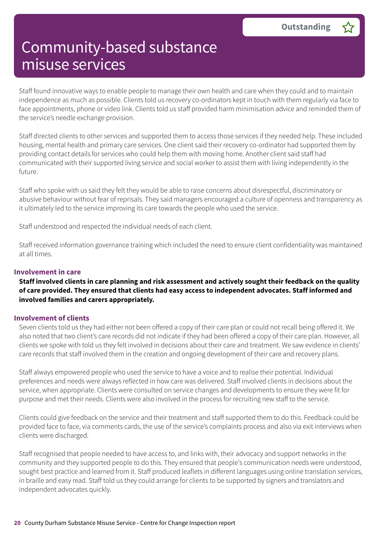Staff found innovative ways to enable people to manage their own health and care when they could and to maintain independence as much as possible. Clients told us recovery co-ordinators kept in touch with them regularly via face to face appointments, phone or video link. Clients told us staff provided harm minimisation advice and reminded them of the service's needle exchange provision.

Staff directed clients to other services and supported them to access those services if they needed help. These included housing, mental health and primary care services. One client said their recovery co-ordinator had supported them by providing contact details for services who could help them with moving home. Another client said staff had communicated with their supported living service and social worker to assist them with living independently in the future.

Staff who spoke with us said they felt they would be able to raise concerns about disrespectful, discriminatory or abusive behaviour without fear of reprisals. They said managers encouraged a culture of openness and transparency as it ultimately led to the service improving its care towards the people who used the service.

Staff understood and respected the individual needs of each client.

Staff received information governance training which included the need to ensure client confidentiality was maintained at all times.

### **Involvement in care**

Staff involved clients in care planning and risk assessment and actively sought their feedback on the quality **of care provided. They ensured that clients had easy access to independent advocates. Staff informed and involved families and carers appropriately.**

### **Involvement of clients**

Seven clients told us they had either not been offered a copy of their care plan or could not recall being offered it. We also noted that two client's care records did not indicate if they had been offered a copy of their care plan. However, all clients we spoke with told us they felt involved in decisions about their care and treatment. We saw evidence in clients' care records that staff involved them in the creation and ongoing development of their care and recovery plans.

Staff always empowered people who used the service to have a voice and to realise their potential. Individual preferences and needs were always reflected in how care was delivered. Staff involved clients in decisions about the service, when appropriate. Clients were consulted on service changes and developments to ensure they were fit for purpose and met their needs. Clients were also involved in the process for recruiting new staff to the service.

Clients could give feedback on the service and their treatment and staff supported them to do this. Feedback could be provided face to face, via comments cards, the use of the service's complaints process and also via exit interviews when clients were discharged.

Staff recognised that people needed to have access to, and links with, their advocacy and support networks in the community and they supported people to do this. They ensured that people's communication needs were understood, sought best practice and learned from it. Staff produced leaflets in different languages using online translation services, in braille and easy read. Staff told us they could arrange for clients to be supported by signers and translators and independent advocates quickly.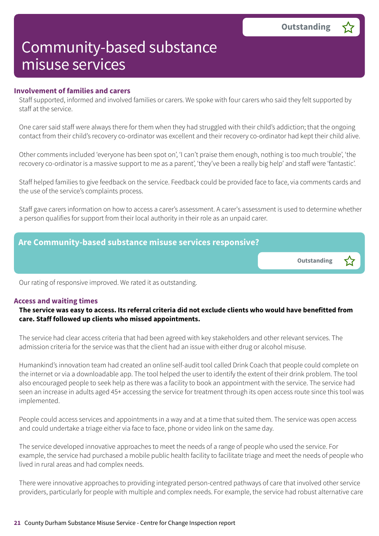#### **Involvement of families and carers**

Staff supported, informed and involved families or carers. We spoke with four carers who said they felt supported by staff at the service.

One carer said staff were always there for them when they had struggled with their child's addiction; that the ongoing contact from their child's recovery co-ordinator was excellent and their recovery co-ordinator had kept their child alive.

Other comments included 'everyone has been spot on', 'I can't praise them enough, nothing is too much trouble', 'the recovery co-ordinator is a massive support to me as a parent', 'they've been a really big help' and staff were 'fantastic'.

Staff helped families to give feedback on the service. Feedback could be provided face to face, via comments cards and the use of the service's complaints process.

Staff gave carers information on how to access a carer's assessment. A carer's assessment is used to determine whether a person qualifies for support from their local authority in their role as an unpaid carer.



Our rating of responsive improved. We rated it as outstanding.

#### **Access and waiting times**

### The service was easy to access. Its referral criteria did not exclude clients who would have benefitted from **care. Staff followed up clients who missed appointments.**

The service had clear access criteria that had been agreed with key stakeholders and other relevant services. The admission criteria for the service was that the client had an issue with either drug or alcohol misuse.

Humankind's innovation team had created an online self-audit tool called Drink Coach that people could complete on the internet or via a downloadable app. The tool helped the user to identify the extent of their drink problem. The tool also encouraged people to seek help as there was a facility to book an appointment with the service. The service had seen an increase in adults aged 45+ accessing the service for treatment through its open access route since this tool was implemented.

People could access services and appointments in a way and at a time that suited them. The service was open access and could undertake a triage either via face to face, phone or video link on the same day.

The service developed innovative approaches to meet the needs of a range of people who used the service. For example, the service had purchased a mobile public health facility to facilitate triage and meet the needs of people who lived in rural areas and had complex needs.

There were innovative approaches to providing integrated person-centred pathways of care that involved other service providers, particularly for people with multiple and complex needs. For example, the service had robust alternative care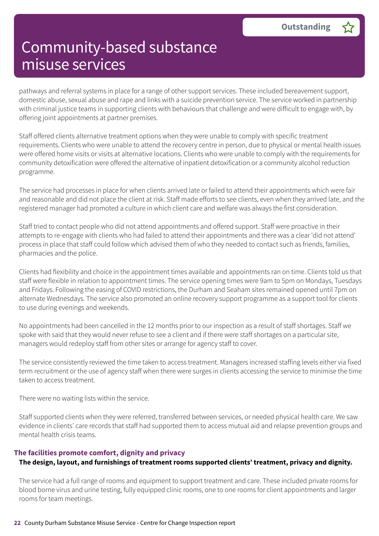pathways and referral systems in place for a range of other support services. These included bereavement support, domestic abuse, sexual abuse and rape and links with a suicide prevention service. The service worked in partnership with criminal justice teams in supporting clients with behaviours that challenge and were difficult to engage with, by offering joint appointments at partner premises.

Staff offered clients alternative treatment options when they were unable to comply with specific treatment requirements. Clients who were unable to attend the recovery centre in person, due to physical or mental health issues were offered home visits or visits at alternative locations. Clients who were unable to comply with the requirements for community detoxification were offered the alternative of inpatient detoxification or a community alcohol reduction programme.

The service had processes in place for when clients arrived late or failed to attend their appointments which were fair and reasonable and did not place the client at risk. Staff made efforts to see clients, even when they arrived late, and the registered manager had promoted a culture in which client care and welfare was always the first consideration.

Staff tried to contact people who did not attend appointments and offered support. Staff were proactive in their attempts to re-engage with clients who had failed to attend their appointments and there was a clear 'did not attend' process in place that staff could follow which advised them of who they needed to contact such as friends, families, pharmacies and the police.

Clients had flexibility and choice in the appointment times available and appointments ran on time. Clients told us that staff were flexible in relation to appointment times. The service opening times were 9am to 5pm on Mondays, Tuesdays and Fridays. Following the easing of COVID restrictions, the Durham and Seaham sites remained opened until 7pm on alternate Wednesdays. The service also promoted an online recovery support programme as a support tool for clients to use during evenings and weekends.

No appointments had been cancelled in the 12 months prior to our inspection as a result of staff shortages. Staff we spoke with said that they would never refuse to see a client and if there were staff shortages on a particular site, managers would redeploy staff from other sites or arrange for agency staff to cover.

The service consistently reviewed the time taken to access treatment. Managers increased staffing levels either via fixed term recruitment or the use of agency staff when there were surges in clients accessing the service to minimise the time taken to access treatment.

There were no waiting lists within the service.

Staff supported clients when they were referred, transferred between services, or needed physical health care. We saw evidence in clients' care records that staff had supported them to access mutual aid and relapse prevention groups and mental health crisis teams.

### **The facilities promote comfort, dignity and privacy**

### **The design, layout, and furnishings of treatment rooms supported clients' treatment, privacy and dignity.**

The service had a full range of rooms and equipment to support treatment and care. These included private rooms for blood borne virus and urine testing, fully equipped clinic rooms, one to one rooms for client appointments and larger rooms for team meetings.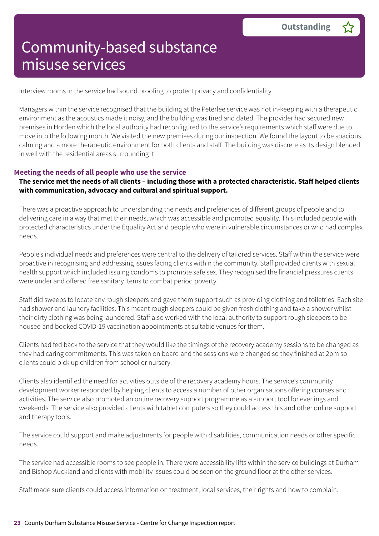Interview rooms in the service had sound proofing to protect privacy and confidentiality.

Managers within the service recognised that the building at the Peterlee service was not in-keeping with a therapeutic environment as the acoustics made it noisy, and the building was tired and dated. The provider had secured new premises in Horden which the local authority had reconfigured to the service's requirements which staff were due to move into the following month. We visited the new premises during our inspection. We found the layout to be spacious, calming and a more therapeutic environment for both clients and staff. The building was discrete as its design blended in well with the residential areas surrounding it.

### **Meeting the needs of all people who use the service**

### The service met the needs of all clients - including those with a protected characteristic. Staff helped clients **with communication, advocacy and cultural and spiritual support.**

There was a proactive approach to understanding the needs and preferences of different groups of people and to delivering care in a way that met their needs, which was accessible and promoted equality. This included people with protected characteristics under the Equality Act and people who were in vulnerable circumstances or who had complex needs.

People's individual needs and preferences were central to the delivery of tailored services. Staff within the service were proactive in recognising and addressing issues facing clients within the community. Staff provided clients with sexual health support which included issuing condoms to promote safe sex. They recognised the financial pressures clients were under and offered free sanitary items to combat period poverty.

Staff did sweeps to locate any rough sleepers and gave them support such as providing clothing and toiletries. Each site had shower and laundry facilities. This meant rough sleepers could be given fresh clothing and take a shower whilst their dirty clothing was being laundered. Staff also worked with the local authority to support rough sleepers to be housed and booked COVID-19 vaccination appointments at suitable venues for them.

Clients had fed back to the service that they would like the timings of the recovery academy sessions to be changed as they had caring commitments. This was taken on board and the sessions were changed so they finished at 2pm so clients could pick up children from school or nursery.

Clients also identified the need for activities outside of the recovery academy hours. The service's community development worker responded by helping clients to access a number of other organisations offering courses and activities. The service also promoted an online recovery support programme as a support tool for evenings and weekends. The service also provided clients with tablet computers so they could access this and other online support and therapy tools.

The service could support and make adjustments for people with disabilities, communication needs or other specific needs.

The service had accessible rooms to see people in. There were accessibility lifts within the service buildings at Durham and Bishop Auckland and clients with mobility issues could be seen on the ground floor at the other services.

Staff made sure clients could access information on treatment, local services, their rights and how to complain.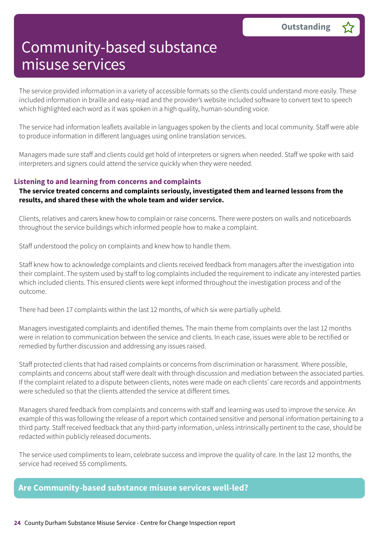The service provided information in a variety of accessible formats so the clients could understand more easily. These included information in braille and easy-read and the provider's website included software to convert text to speech which highlighted each word as it was spoken in a high quality, human-sounding voice.

The service had information leaflets available in languages spoken by the clients and local community. Staff were able to produce information in different languages using online translation services.

Managers made sure staff and clients could get hold of interpreters or signers when needed. Staff we spoke with said interpreters and signers could attend the service quickly when they were needed.

### **Listening to and learning from concerns and complaints**

### **The service treated concerns and complaints seriously, investigated them and learned lessons from the results, and shared these with the whole team and wider service.**

Clients, relatives and carers knew how to complain or raise concerns. There were posters on walls and noticeboards throughout the service buildings which informed people how to make a complaint.

Staff understood the policy on complaints and knew how to handle them.

Staff knew how to acknowledge complaints and clients received feedback from managers after the investigation into their complaint. The system used by staff to log complaints included the requirement to indicate any interested parties which included clients. This ensured clients were kept informed throughout the investigation process and of the outcome.

There had been 17 complaints within the last 12 months, of which six were partially upheld.

Managers investigated complaints and identified themes. The main theme from complaints over the last 12 months were in relation to communication between the service and clients. In each case, issues were able to be rectified or remedied by further discussion and addressing any issues raised.

Staff protected clients that had raised complaints or concerns from discrimination or harassment. Where possible, complaints and concerns about staff were dealt with through discussion and mediation between the associated parties. If the complaint related to a dispute between clients, notes were made on each clients' care records and appointments were scheduled so that the clients attended the service at different times.

Managers shared feedback from complaints and concerns with staff and learning was used to improve the service. An example of this was following the release of a report which contained sensitive and personal information pertaining to a third party. Staff received feedback that any third-party information, unless intrinsically pertinent to the case, should be redacted within publicly released documents.

The service used compliments to learn, celebrate success and improve the quality of care. In the last 12 months, the service had received 55 compliments.

### **Are Community-based substance misuse services well-led?**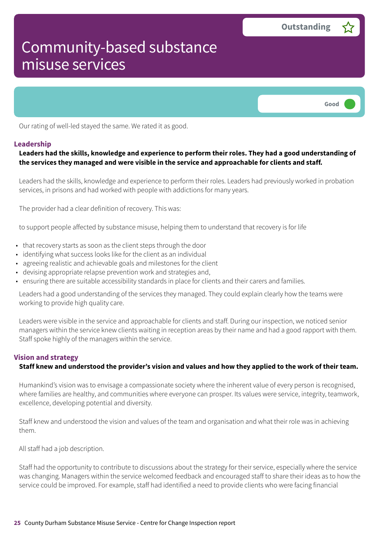

Our rating of well-led stayed the same. We rated it as good.

#### **Leadership**

### **Leaders had the skills, knowledge and experience to perform their roles. They had a good understanding of the services they managed and were visible in the service and approachable for clients and staff.**

Leaders had the skills, knowledge and experience to perform their roles. Leaders had previously worked in probation services, in prisons and had worked with people with addictions for many years.

The provider had a clear definition of recovery. This was:

to support people affected by substance misuse, helping them to understand that recovery is for life

- that recovery starts as soon as the client steps through the door
- identifying what success looks like for the client as an individual
- agreeing realistic and achievable goals and milestones for the client
- devising appropriate relapse prevention work and strategies and,
- ensuring there are suitable accessibility standards in place for clients and their carers and families.

Leaders had a good understanding of the services they managed. They could explain clearly how the teams were working to provide high quality care.

Leaders were visible in the service and approachable for clients and staff. During our inspection, we noticed senior managers within the service knew clients waiting in reception areas by their name and had a good rapport with them. Staff spoke highly of the managers within the service.

#### **Vision and strategy**

#### Staff knew and understood the provider's vision and values and how they applied to the work of their team.

Humankind's vision was to envisage a compassionate society where the inherent value of every person is recognised, where families are healthy, and communities where everyone can prosper. Its values were service, integrity, teamwork, excellence, developing potential and diversity.

Staff knew and understood the vision and values of the team and organisation and what their role was in achieving them.

All staff had a job description.

Staff had the opportunity to contribute to discussions about the strategy for their service, especially where the service was changing. Managers within the service welcomed feedback and encouraged staff to share their ideas as to how the service could be improved. For example, staff had identified a need to provide clients who were facing financial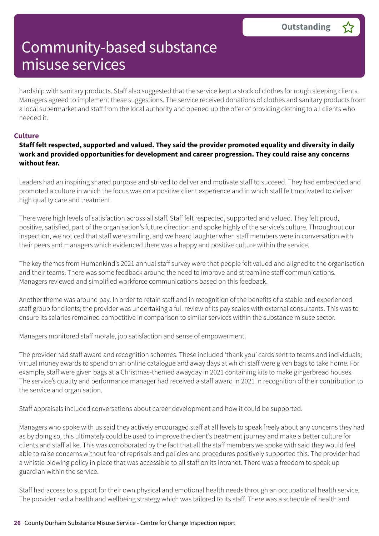hardship with sanitary products. Staff also suggested that the service kept a stock of clothes for rough sleeping clients. Managers agreed to implement these suggestions. The service received donations of clothes and sanitary products from a local supermarket and staff from the local authority and opened up the offer of providing clothing to all clients who needed it.

#### **Culture**

### **Staff felt respected, supported and valued. They said the provider promoted equality and diversity in daily work and provided opportunities for development and career progression. They could raise any concerns without fear.**

Leaders had an inspiring shared purpose and strived to deliver and motivate staff to succeed. They had embedded and promoted a culture in which the focus was on a positive client experience and in which staff felt motivated to deliver high quality care and treatment.

There were high levels of satisfaction across all staff. Staff felt respected, supported and valued. They felt proud, positive, satisfied, part of the organisation's future direction and spoke highly of the service's culture. Throughout our inspection, we noticed that staff were smiling, and we heard laughter when staff members were in conversation with their peers and managers which evidenced there was a happy and positive culture within the service.

The key themes from Humankind's 2021 annual staff survey were that people felt valued and aligned to the organisation and their teams. There was some feedback around the need to improve and streamline staff communications. Managers reviewed and simplified workforce communications based on this feedback.

Another theme was around pay. In order to retain staff and in recognition of the benefits of a stable and experienced staff group for clients; the provider was undertaking a full review of its pay scales with external consultants. This was to ensure its salaries remained competitive in comparison to similar services within the substance misuse sector.

Managers monitored staff morale, job satisfaction and sense of empowerment.

The provider had staff award and recognition schemes. These included 'thank you' cards sent to teams and individuals; virtual money awards to spend on an online catalogue and away days at which staff were given bags to take home. For example, staff were given bags at a Christmas-themed awayday in 2021 containing kits to make gingerbread houses. The service's quality and performance manager had received a staff award in 2021 in recognition of their contribution to the service and organisation.

Staff appraisals included conversations about career development and how it could be supported.

Managers who spoke with us said they actively encouraged staff at all levels to speak freely about any concerns they had as by doing so, this ultimately could be used to improve the client's treatment journey and make a better culture for clients and staff alike. This was corroborated by the fact that all the staff members we spoke with said they would feel able to raise concerns without fear of reprisals and policies and procedures positively supported this. The provider had a whistle blowing policy in place that was accessible to all staff on its intranet. There was a freedom to speak up guardian within the service.

Staff had access to support for their own physical and emotional health needs through an occupational health service. The provider had a health and wellbeing strategy which was tailored to its staff. There was a schedule of health and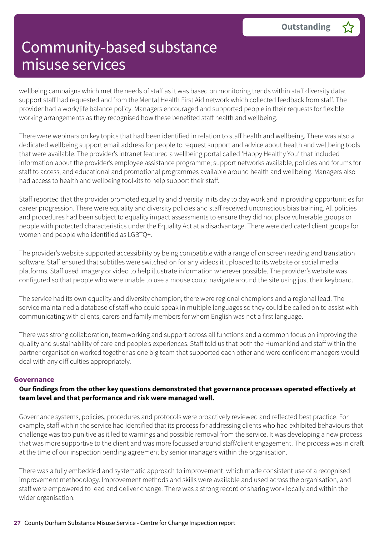wellbeing campaigns which met the needs of staff as it was based on monitoring trends within staff diversity data; support staff had requested and from the Mental Health First Aid network which collected feedback from staff. The provider had a work/life balance policy. Managers encouraged and supported people in their requests for flexible working arrangements as they recognised how these benefited staff health and wellbeing.

There were webinars on key topics that had been identified in relation to staff health and wellbeing. There was also a dedicated wellbeing support email address for people to request support and advice about health and wellbeing tools that were available. The provider's intranet featured a wellbeing portal called 'Happy Healthy You' that included information about the provider's employee assistance programme; support networks available, policies and forums for staff to access, and educational and promotional programmes available around health and wellbeing. Managers also had access to health and wellbeing toolkits to help support their staff.

Staff reported that the provider promoted equality and diversity in its day to day work and in providing opportunities for career progression. There were equality and diversity policies and staff received unconscious bias training. All policies and procedures had been subject to equality impact assessments to ensure they did not place vulnerable groups or people with protected characteristics under the Equality Act at a disadvantage. There were dedicated client groups for women and people who identified as LGBTQ+.

The provider's website supported accessibility by being compatible with a range of on screen reading and translation software. Staff ensured that subtitles were switched on for any videos it uploaded to its website or social media platforms. Staff used imagery or video to help illustrate information wherever possible. The provider's website was configured so that people who were unable to use a mouse could navigate around the site using just their keyboard.

The service had its own equality and diversity champion; there were regional champions and a regional lead. The service maintained a database of staff who could speak in multiple languages so they could be called on to assist with communicating with clients, carers and family members for whom English was not a first language.

There was strong collaboration, teamworking and support across all functions and a common focus on improving the quality and sustainability of care and people's experiences. Staff told us that both the Humankind and staff within the partner organisation worked together as one big team that supported each other and were confident managers would deal with any difficulties appropriately.

### **Governance**

### **Our findings from the other key questions demonstrated that governance processes operated effectively at team level and that performance and risk were managed well.**

Governance systems, policies, procedures and protocols were proactively reviewed and reflected best practice. For example, staff within the service had identified that its process for addressing clients who had exhibited behaviours that challenge was too punitive as it led to warnings and possible removal from the service. It was developing a new process that was more supportive to the client and was more focussed around staff/client engagement. The process was in draft at the time of our inspection pending agreement by senior managers within the organisation.

There was a fully embedded and systematic approach to improvement, which made consistent use of a recognised improvement methodology. Improvement methods and skills were available and used across the organisation, and staff were empowered to lead and deliver change. There was a strong record of sharing work locally and within the wider organisation.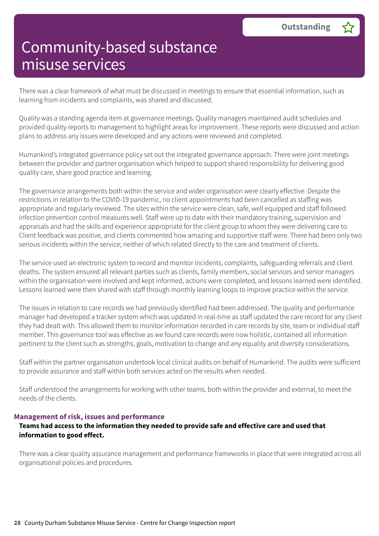There was a clear framework of what must be discussed in meetings to ensure that essential information, such as learning from incidents and complaints, was shared and discussed.

Quality was a standing agenda item at governance meetings. Quality managers maintained audit schedules and provided quality reports to management to highlight areas for improvement. These reports were discussed and action plans to address any issues were developed and any actions were reviewed and completed.

Humankind's integrated governance policy set out the integrated governance approach. There were joint meetings between the provider and partner organisation which helped to support shared responsibility for delivering good quality care, share good practice and learning.

The governance arrangements both within the service and wider organisation were clearly effective. Despite the restrictions in relation to the COVID-19 pandemic, no client appointments had been cancelled as staffing was appropriate and regularly reviewed. The sites within the service were clean, safe, well equipped and staff followed infection prevention control measures well. Staff were up to date with their mandatory training, supervision and appraisals and had the skills and experience appropriate for the client group to whom they were delivering care to. Client feedback was positive, and clients commented how amazing and supportive staff were. There had been only two serious incidents within the service; neither of which related directly to the care and treatment of clients.

The service used an electronic system to record and monitor incidents, complaints, safeguarding referrals and client deaths. The system ensured all relevant parties such as clients, family members, social services and senior managers within the organisation were involved and kept informed, actions were completed, and lessons learned were identified. Lessons learned were then shared with staff through monthly learning loops to improve practice within the service.

The issues in relation to care records we had previously identified had been addressed. The quality and performance manager had developed a tracker system which was updated in real-time as staff updated the care record for any client they had dealt with. This allowed them to monitor information recorded in care records by site, team or individual staff member. This governance tool was effective as we found care records were now holistic, contained all information pertinent to the client such as strengths, goals, motivation to change and any equality and diversity considerations.

Staff within the partner organisation undertook local clinical audits on behalf of Humankind. The audits were sufficient to provide assurance and staff within both services acted on the results when needed.

Staff understood the arrangements for working with other teams, both within the provider and external, to meet the needs of the clients.

#### **Management of risk, issues and performance**

### **Teams had access to the information they needed to provide safe and effective care and used that information to good effect.**

There was a clear quality assurance management and performance frameworks in place that were integrated across all organisational policies and procedures.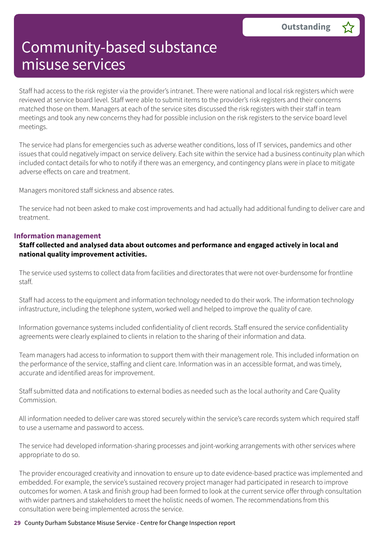Staff had access to the risk register via the provider's intranet. There were national and local risk registers which were reviewed at service board level. Staff were able to submit items to the provider's risk registers and their concerns matched those on them. Managers at each of the service sites discussed the risk registers with their staff in team meetings and took any new concerns they had for possible inclusion on the risk registers to the service board level meetings.

The service had plans for emergencies such as adverse weather conditions, loss of IT services, pandemics and other issues that could negatively impact on service delivery. Each site within the service had a business continuity plan which included contact details for who to notify if there was an emergency, and contingency plans were in place to mitigate adverse effects on care and treatment.

Managers monitored staff sickness and absence rates.

The service had not been asked to make cost improvements and had actually had additional funding to deliver care and treatment.

### **Information management**

### **Staff collected and analysed data about outcomes and performance and engaged actively in local and national quality improvement activities.**

The service used systems to collect data from facilities and directorates that were not over-burdensome for frontline staff.

Staff had access to the equipment and information technology needed to do their work. The information technology infrastructure, including the telephone system, worked well and helped to improve the quality of care.

Information governance systems included confidentiality of client records. Staff ensured the service confidentiality agreements were clearly explained to clients in relation to the sharing of their information and data.

Team managers had access to information to support them with their management role. This included information on the performance of the service, staffing and client care. Information was in an accessible format, and was timely, accurate and identified areas for improvement.

Staff submitted data and notifications to external bodies as needed such as the local authority and Care Quality Commission.

All information needed to deliver care was stored securely within the service's care records system which required staff to use a username and password to access.

The service had developed information-sharing processes and joint-working arrangements with other services where appropriate to do so.

The provider encouraged creativity and innovation to ensure up to date evidence-based practice was implemented and embedded. For example, the service's sustained recovery project manager had participated in research to improve outcomes for women. A task and finish group had been formed to look at the current service offer through consultation with wider partners and stakeholders to meet the holistic needs of women. The recommendations from this consultation were being implemented across the service.

#### **29** County Durham Substance Misuse Service - Centre for Change Inspection report